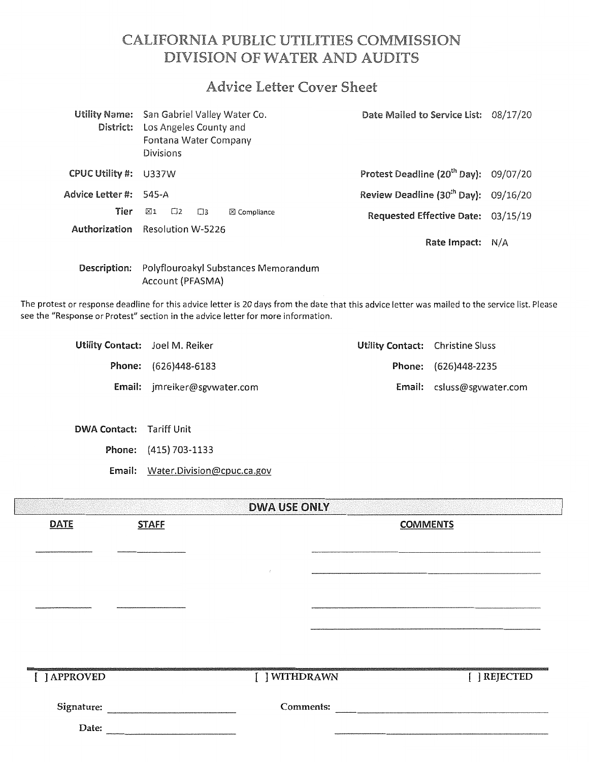# CALIFORNIA PUBLIC UTILITIES COMMISSION DIVISION OF WATER AND AUDITS

# Advice Letter Cover Sheet

| District:              | Utility Name: San Gabriel Valley Water Co.<br>Los Angeles County and<br>Fontana Water Company<br><b>Divisions</b> | Date Mailed to Service List: 08/17/20              |  |
|------------------------|-------------------------------------------------------------------------------------------------------------------|----------------------------------------------------|--|
| CPUC Utility #:        | U337W                                                                                                             | Protest Deadline (20 <sup>th</sup> Day): 09/07/20  |  |
| Advice Letter #: 545-A |                                                                                                                   | Review Deadline (30 <sup>th</sup> Day): $09/16/20$ |  |
| Tier                   | ⊠1<br>$\square$ 3<br>$\boxtimes$ Compliance<br>Π2                                                                 | Requested Effective Date: 03/15/19                 |  |
|                        | Authorization Resolution W-5226                                                                                   | Rate Impact: N/A                                   |  |
| Description:           | Polyflouroakyl Substances Memorandum                                                                              |                                                    |  |

Account (PFASMA)

The protest or response deadline for this advice letter is 20 days from the date that this advice letter was mailed to the service list. Please see the "Response or Protest" section in the advice letter for more information.

| Utility Contact: Joel M. Reiker |                              | Utility Contact: Christine Sluss |                                   |
|---------------------------------|------------------------------|----------------------------------|-----------------------------------|
|                                 | <b>Phone:</b> (626)448-6183  |                                  | Phone: (626)448-2235              |
|                                 | Email: imreiker@sgywater.com |                                  | <b>Email:</b> csluss@sgywater.com |

DWA Contact: Tariff Unit

Phone: (415) 703-1133

Email: Water.Division@cpuc.ca.gov

|              | <b>DWA USE ONLY</b> |               |                 |  |  |
|--------------|---------------------|---------------|-----------------|--|--|
| <b>DATE</b>  | <b>STAFF</b>        |               | <b>COMMENTS</b> |  |  |
|              |                     |               |                 |  |  |
|              |                     |               |                 |  |  |
|              |                     |               |                 |  |  |
|              |                     |               |                 |  |  |
|              |                     |               |                 |  |  |
|              |                     |               |                 |  |  |
|              |                     |               |                 |  |  |
|              |                     |               |                 |  |  |
| [ ] APPROVED |                     | [ ] WITHDRAWN | [ ] REJECTED    |  |  |
| Signature:   |                     | Comments:     |                 |  |  |
| Date:        |                     |               |                 |  |  |
|              |                     |               |                 |  |  |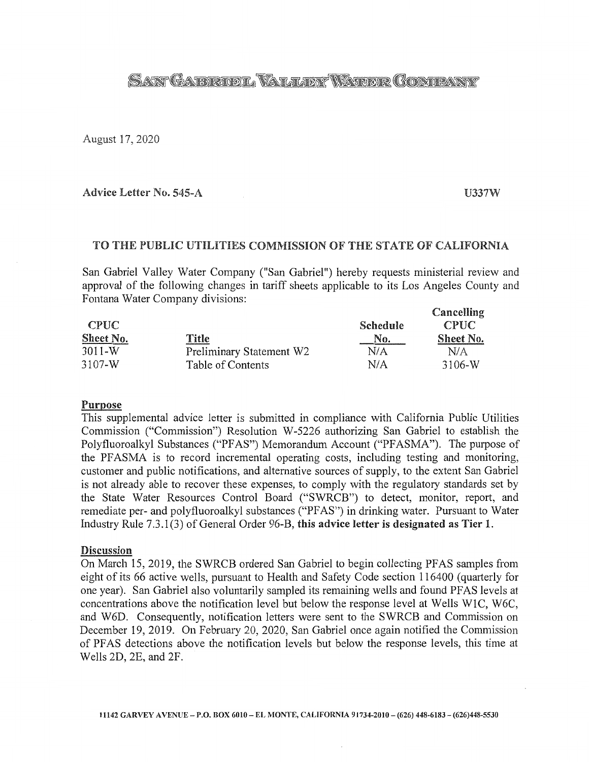# SANY GARDOOR VALLENY WATER GOMEANY

August 17, 2020

Advice Letter No. 545-A U337W

 $C_{\text{max}}$ <sup>Ilin</sup> $\sim$ 

## TO THE PUBLIC UTILITIES COMMISSION OF THE STATE OF CALIFORNIA

San Gabriel Valley Water Company ("San Gabriel") hereby requests ministerial review and approval of the following changes in tariff sheets applicable to its Los Angeles County and Fontana Water Company divisions:

|                  |                          |          | Cancemmy    |
|------------------|--------------------------|----------|-------------|
| <b>CPUC</b>      |                          | Schedule | <b>CPUC</b> |
| <b>Sheet No.</b> | Title                    | No.      | Sheet No.   |
| $3011-W$         | Preliminary Statement W2 | N/A      | N/A         |
| $3107-W$         | Table of Contents        | N/A      | 3106-W      |

### Purpose

This supplemental advice letter is submitted in compliance with California Public Utilities Commission ("Commission") Resolution W-5226 authorizing San Gabriel to establish the Polyfluoroalkyl Substances ("PFAS") Memorandum Account ("PFASMA"). The purpose of the PF ASMA is to record incremental operating costs, including testing and monitoring, customer and public notifications, and alternative sources of supply, to the extent San Gabriel is not already able to recover these expenses, to comply with the regulatory standards set by the State Water Resources Control Board ("SWRCB") to detect, monitor, report, and remediate per- and polyfluoroalkyl substances ("PFAS") in drinking water. Pursuant to Water Industry Rule 7.3 .1 (3) of General Order 96-B, this advice letter is designated as Tier 1.

#### Discussion

On March 15, 2019, the SWRCB ordered San Gabriel to begin collecting PFAS samples from eight of its 66 active wells, pursuant to Health and Safety Code section 116400 (quarterly for one year). San Gabriel also voluntarily sampled its remaining wells and found PF AS levels at concentrations above the notification level but below the response level at Wells WlC, W6C, and W6D. Consequently, notification letters were sent to the SWRCB and Commission on December 19, 2019. On February 20, 2020, San Gabriel once again notified the Commission of PF AS detections above the notification levels but below the response levels, this time at Wells 2D, 2E, and 2F.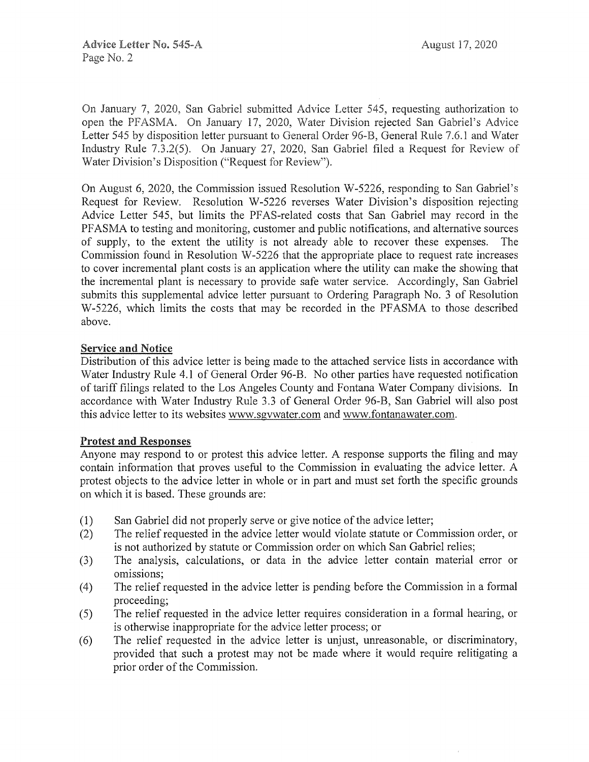On January 7, 2020, San Gabriel submitted Advice Letter 545, requesting authorization to open the PFASMA. On January 17, 2020, Water Division rejected San Gabriel's Advice Letter 545 by disposition letter pursuant to General Order 96-B, General Rule 7.6.1 and Water Industry Rule 7.3.2(5). On January 27, 2020, San Gabriel filed a Request for Review of Water Division's Disposition ("Request for Review").

On August 6, 2020, the Commission issued Resolution W-5226, responding to San Gabriel's Request for Review. Resolution W-5226 reverses Water Division's disposition rejecting Advice Letter 545, but limits the PF AS-related costs that San Gabriel may record in the PFASMA to testing and monitoring, customer and public notifications, and alternative sources of supply, to the extent the utility is not already able to recover these expenses. Commission found in Resolution W-5226 that the appropriate place to request rate increases to cover incremental plant costs is an application where the utility can make the showing that the incremental plant is necessary to provide safe water service. Accordingly, San Gabriel submits this supplemental advice letter pursuant to Ordering Paragraph No. 3 of Resolution W-5226, which limits the costs that may be recorded in the PFASMA to those described above.

### Service and Notice

Distribution of this advice letter is being made to the attached service lists in accordance with Water Industry Rule 4.1 of General Order 96-B. No other parties have requested notification of tariff filings related to the Los Angeles County and Fontana Water Company divisions. In accordance with Water Industry Rule 3.3 of General Order 96-B, San Gabriel will also post this advice letter to its websites www.sgvwater.com and www.fontanawater.com.

### Protest and Responses

Anyone may respond to or protest this advice letter. A response supports the filing and may contain information that proves useful to the Commission in evaluating the advice letter. A protest objects to the advice letter in whole or in part and must set forth the specific grounds on which it is based. These grounds are:

- (1) San Gabriel did not properly serve or give notice of the advice letter;
- (2) The relief requested in the advice letter would violate statute or Commission order, or is not authorized by statute or Commission order on which San Gabriel relies;
- (3) The analysis, calculations, or data in the advice letter contain material error or omissions;
- ( 4) The relief requested in the advice letter is pending before the Commission in a formal proceeding;
- ( 5) The relief requested in the advice letter requires consideration in a formal hearing, or is otherwise inappropriate for the advice letter process; or
- (6) The relief requested in the advice letter is unjust, umeasonable, or discriminatory, provided that such a protest may not be made where it would require relitigating a prior order of the Commission.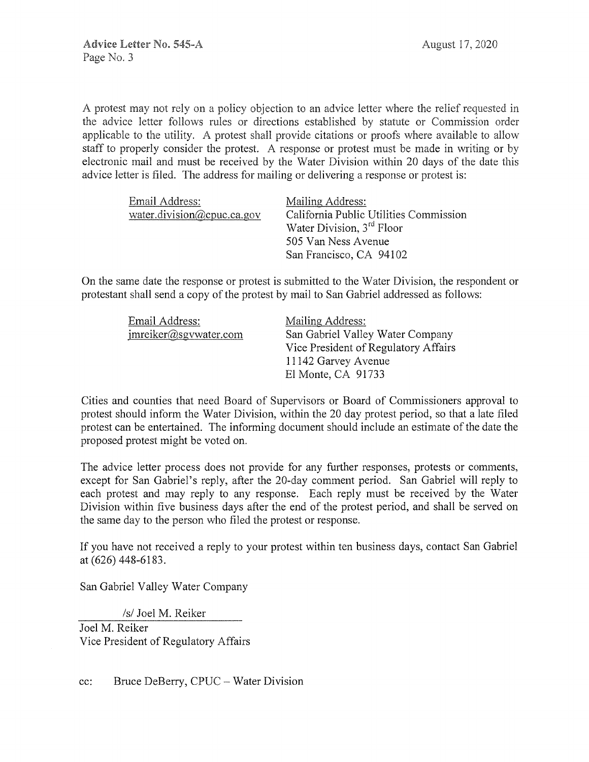A protest may not rely on a policy objection to an advice letter where the relief requested in the advice letter follows rules or directions established by statute or Commission order applicable to the utility. A protest shall provide citations or proofs where available to allow staff to properly consider the protest. A response or protest must be made in writing or by electronic mail and must be received by the Water Division within 20 days of the date this advice letter is filed. The address for mailing or delivering a response or protest is:

| Mailing Address:                       |
|----------------------------------------|
| California Public Utilities Commission |
| Water Division, 3 <sup>rd</sup> Floor  |
| 505 Van Ness Avenue                    |
| San Francisco, CA 94102                |
|                                        |

On the same date the response or protest is submitted to the Water Division, the respondent or protestant shall send a copy of the protest by mail to San Gabriel addressed as follows:

| Email Address:        | Mailing Address:                     |
|-----------------------|--------------------------------------|
| imreiker@sgvwater.com | San Gabriel Valley Water Company     |
|                       | Vice President of Regulatory Affairs |
|                       | 11142 Garvey Avenue                  |
|                       | El Monte, CA 91733                   |

Cities and counties that need Board of Supervisors or Board of Commissioners approval to protest should inform the Water Division, within the 20 day protest period, so that a late filed protest can be entertained. The informing document should include an estimate of the date the proposed protest might be voted on.

The advice letter process does not provide for any further responses, protests or comments, except for San Gabriel's reply, after the 20-day comment period. San Gabriel will reply to each protest and may reply to any response. Each reply must be received by the Water Division within five business days after the end of the protest period, and shall be served on the same day to the person who filed the protest or response.

If you have not received a reply to your protest within ten business days, contact San Gabriel at (626) 448-6183.

San Gabriel Valley Water Company

*Isl* Joel M. Reiker

Joel M. Reiker Vice President of Regulatory Affairs

cc: Bruce DeBerry, CPUC- Water Division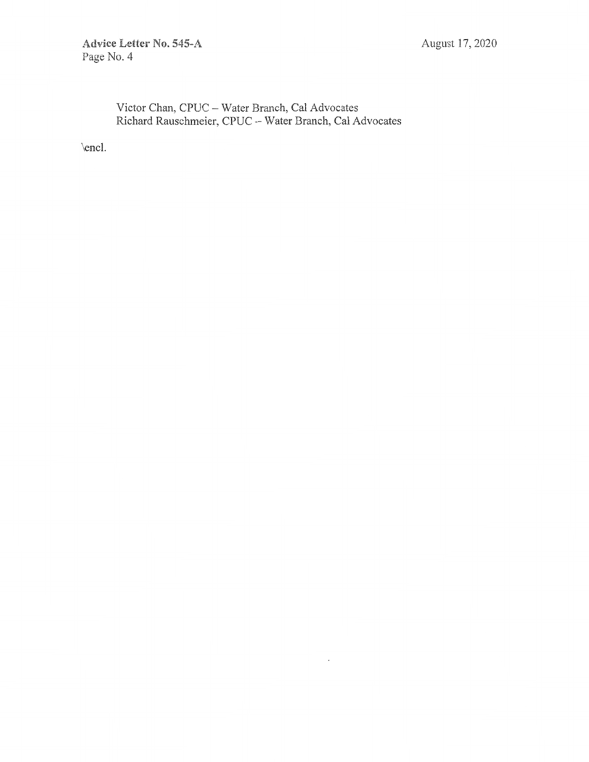## Victor Chan, CPUC - Water Branch, Cal Advocates Richard Rauschmeier, CPUC - Water Branch, Cal Advocates

 $\epsilon$ 

\encl.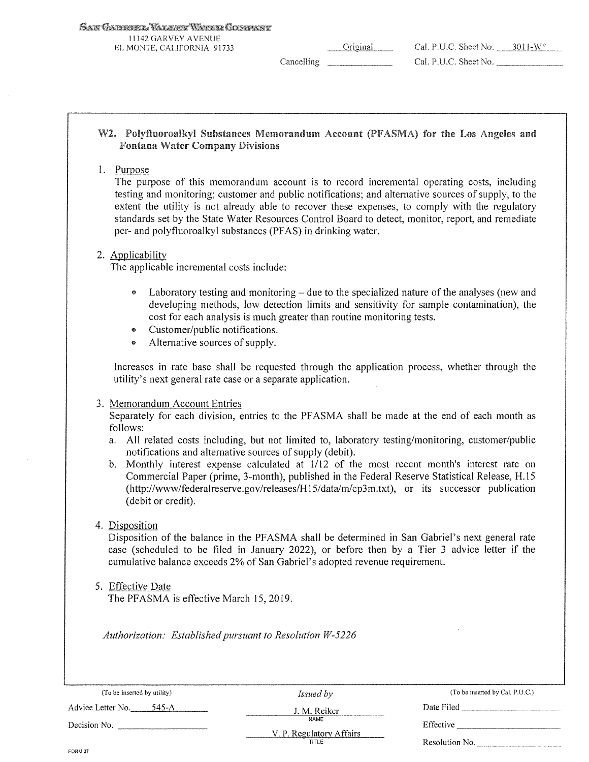| San Gaibhnel Valley Whine Comman |  |  |
|----------------------------------|--|--|
|                                  |  |  |

! l 142 GARVEY AVENUE EL MONTE. CALIFORNIA 91733

Original Cancelling

| Cal. P.U.C. Sheet No. |  | $3011 - W^*$ |
|-----------------------|--|--------------|
| Cal. P.U.C. Sheet No. |  |              |

### W2. Polyfluoroalkyl Substances Memorandum Account (PFASMA) for the Los Angeles and **Fontana Water Company Divisions**

### 1. Purpose

The purpose of this memorandum account is to record incremental operating costs, including testing and monitoring; customer and public notifications; and alternative sources of supply, to the extent the utility is not already able to recover these expenses, to comply with the regulatory standards set by the State Water Resources Control Board to detect, monitor, report, and remediate per- and polyfluoroalkyl substances (PF AS) in drinking water.

### 2. Applicability

The applicable incremental costs include:

- Laboratory testing and monitoring  $-\text{ due to the specialized nature of the analyses (new and }$ developing methods, low detection limits and sensitivity for sample contamination), the cost for each analysis is much greater than routine monitoring tests.
- e Customer/public notifications.
- Alternative sources of supply.

Increases in rate base shall be requested through the application process, whether through the utility's next general rate case or a separate application.

### 3. Memorandum Account Entries

Separately for each division, entries to the PFASMA shall be made at the end of each month as follows:

- a. All related costs including, but not limited to, laboratory testing/monitoring, customer/public notifications and alternative sources of supply (debit).
- b. Monthly interest expense calculated at 1112 of the most recent month's interest rate on Commercial Paper (prime, 3-month), published in the Federal Reserve Statistical Release, H.15 (http://www/federalreserve.gov/releases/H I 5/data/m/cp3m.txt), or its successor publication (debit or credit).

### 4. Disposition

Disposition of the balance in the PFASMA shall be determined in San Gabriel's next general rate case (scheduled to be filed in January 2022), or before then by a Tier 3 advice letter if the cumulative balance exceeds 2% of San Gabriel's adopted revenue requirement.

5. Effective Date

The PFASMA is effective March 15, 2019.

*Authorization: Established pursuant to Resolution W-5226* 

| (To be inserted by utility)  | <i>Issued by</i>                 | (To be inserted by Cal. P.U.C.) |
|------------------------------|----------------------------------|---------------------------------|
| Advice Letter No.<br>- 545-A | J. M. Reiker                     | Date Filed                      |
| Decision No.                 | NAME<br>V. P. Regulatory Affairs | Effective                       |
| <b>CABLE 57</b>              | TITLE                            | Resolution No.                  |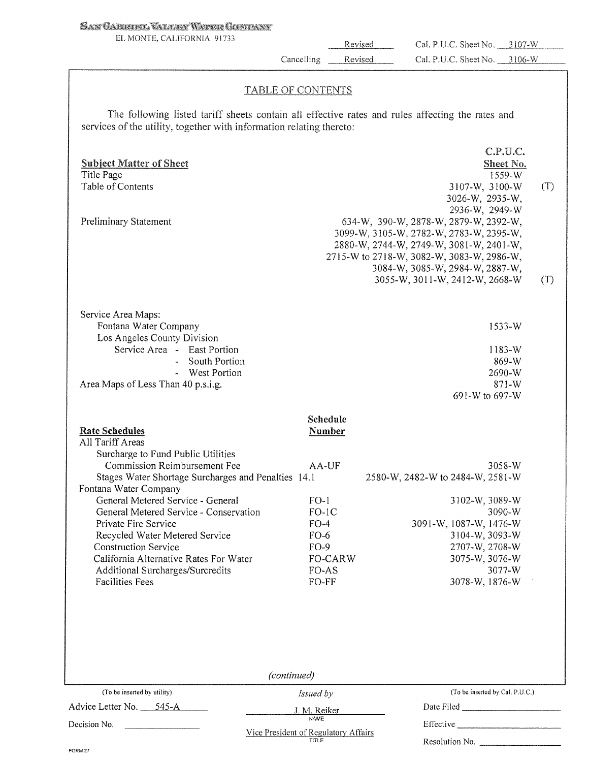### SAN GABRIEL VALLER WARER GOMPANY

EL MONTE, CALIFORNlA 91733

Revised Cancelling  $\qquad$ 

Revised

Resolution No. \_\_\_\_\_\_\_\_\_\_

### TABLE OF CONTENTS

The following listed tariff sheets contain all effective rates and rules affecting the rates and services of the utility, together with information relating thereto:

|                                                            |              | C.P.U.C.                                  |     |
|------------------------------------------------------------|--------------|-------------------------------------------|-----|
| <b>Subject Matter of Sheet</b><br>Title Page               |              | Sheet No.<br>1559-W                       |     |
| Table of Contents                                          |              | 3107-W, 3100-W                            | (T) |
|                                                            |              | 3026-W, 2935-W,                           |     |
|                                                            |              | 2936-W, 2949-W                            |     |
| Preliminary Statement                                      |              | 634-W, 390-W, 2878-W, 2879-W, 2392-W,     |     |
|                                                            |              | 3099-W, 3105-W, 2782-W, 2783-W, 2395-W,   |     |
|                                                            |              | 2880-W, 2744-W, 2749-W, 3081-W, 2401-W,   |     |
|                                                            |              | 2715-W to 2718-W, 3082-W, 3083-W, 2986-W, |     |
|                                                            |              | 3084-W, 3085-W, 2984-W, 2887-W,           |     |
|                                                            |              | 3055-W, 3011-W, 2412-W, 2668-W            | (T) |
|                                                            |              |                                           |     |
| Service Area Maps:                                         |              |                                           |     |
| Fontana Water Company                                      |              | 1533-W                                    |     |
| Los Angeles County Division                                |              |                                           |     |
| Service Area - East Portion                                |              | 1183-W                                    |     |
| - South Portion                                            |              | 869-W                                     |     |
| - West Portion                                             |              | 2690-W                                    |     |
| Area Maps of Less Than 40 p.s.i.g.                         |              | $871-W$                                   |     |
|                                                            |              | 691-W to 697-W                            |     |
|                                                            | Schedule     |                                           |     |
| <b>Rate Schedules</b>                                      | Number       |                                           |     |
| All Tariff Areas                                           |              |                                           |     |
| Surcharge to Fund Public Utilities                         |              |                                           |     |
| Commission Reimbursement Fee                               | AA-UF        | 3058-W                                    |     |
| Stages Water Shortage Surcharges and Penalties 14.1        |              | 2580-W, 2482-W to 2484-W, 2581-W          |     |
| Fontana Water Company<br>General Metered Service - General | $FO-1$       |                                           |     |
| General Metered Service - Conservation                     | $FO-1C$      | 3102-W, 3089-W<br>3090-W                  |     |
| Private Fire Service                                       | $FO-4$       | 3091-W, 1087-W, 1476-W                    |     |
| Recycled Water Metered Service                             | $FO-6$       | 3104-W, 3093-W                            |     |
| <b>Construction Service</b>                                | $FO-9$       | 2707-W, 2708-W                            |     |
| California Alternative Rates For Water                     | FO-CARW      | 3075-W, 3076-W                            |     |
| Additional Surcharges/Surcredits                           | FO-AS        | 3077-W                                    |     |
| <b>Facilities Fees</b>                                     | FO-FF        | 3078-W, 1876-W                            |     |
|                                                            |              |                                           |     |
|                                                            |              |                                           |     |
|                                                            |              |                                           |     |
|                                                            | (continued)  |                                           |     |
| (To be inserted by utility)                                | Issued by    | (To be inserted by Cal. P.U.C.)           |     |
| Advice Letter No. 545-A                                    | J. M. Reiker |                                           |     |
| Decision No.                                               | <b>NAME</b>  | Effective                                 |     |